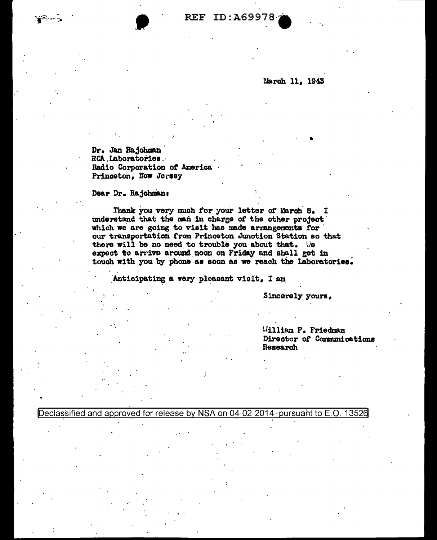**REF ID: A69978** 

March 11, 1943

Dr. Jan Rajohman RCA Laboratories. Radio Corporation of America Princeton, New Jersey

Dear Dr. Rajchman:

Thank you very much for your letter of March 8. I understand that the man in charge of the other project which we are going to visit has made arrangements for our transportation from Princeton Junction Station so that there will be no need to trouble you about that. We expect to arrive around noon on Friday and shall get in touch with you by phone as soon as we reach the Laboratories.

Anticipating a very pleasant visit. I am

Sincerely yours,

William F. Friedman Director of Communications Research

Declassified and approved for release by NSA on 04-02-2014 · pursuant to E.O. 13526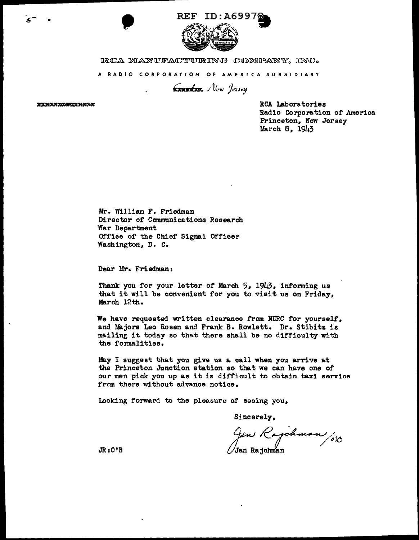

 $\frac{1}{2}$ 

A RADIO CORPORATION OF AMERICA SUBSIDIARY

Exnudex. New Jersey

**EXXXXXXXXXXXXXXXX** 

شم

RCA Laboratories Radio Corporation *ot* America Princeton. New Jersey March 8, 1943

Mr. William F. Friedman Director of Communications Research War Department Office of the Chief Signal Officer Washington, D. c.

Dear Mr. Friedman:

Thank you for your letter of March 5, 1943, informing us that it will be convenient for you to visit us on Friday, March 12th.

We have requested written clearance from NDRC *tor* yourself, and Majors Leo Rosen and Frank B. Rowlett. Dr. Stibitz is mailing it today so that there shall be no difficulty with the formalities.

May I suggest that you give us a call when you arrive at the Princeton Junction station so that we can have one of our men pick you up as it is difficult to obtain taxi service from there without advance notice.

Looking forward to the pleasure of seeing you,

Sincerely,

Gen Rajchman /013

JR:C'B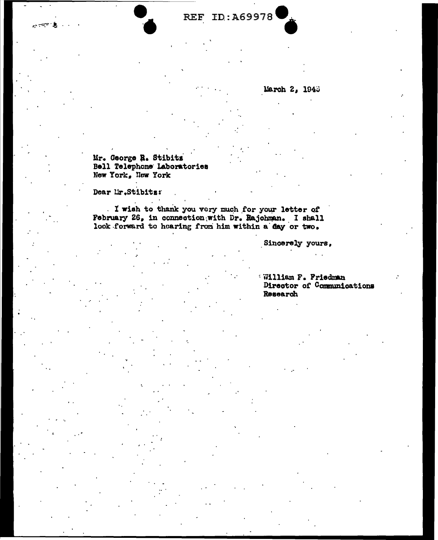**REF ID: A69978** 

March 2, 1948

Mr. George R. Stibitz Bell Telephone Laboratories New York, New York

Dear Mr.Stibits:

I wish to thank you very much for your letter of February 26, in connection with Dr. Rajohman. I shall look forward to hearing from him within a day or two.

Sincerely yours,

William F. Friedman Director of Communications Research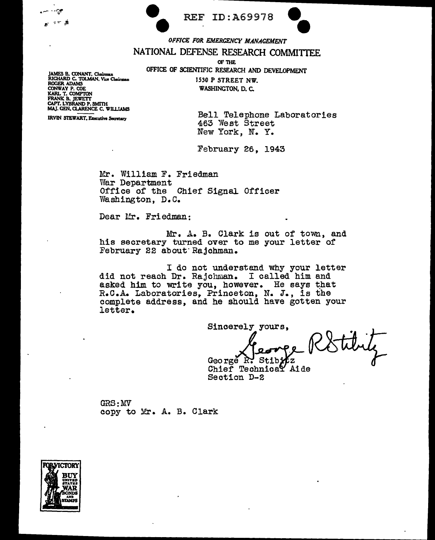|  | <b>REF ID: A69978</b> |                                 |
|--|-----------------------|---------------------------------|
|  |                       |                                 |
|  |                       | OFFICE FOR EMERGENCY MANAGEMENT |



NATIONAL DEFENSE RESEARCH COMMITTEE

OF THE

OFFICE OF SCIENTIFIC RESEARCH AND DEVELOPMENT 1530 P STREET NW.

JAMES B. CONANT, Chairman (1988)<br>
RICHARD C. TOLMAN, Vice Chairman (1998)<br>
ROGER ADAMS (2008)<br>
CONWAY P. COE (2008)<br>
KARL T. COMPTON (2008) FRANK B. JEWETT<br>CAPT, LYBRAND P. SMITH<br>MAJ, GEN, CLARENCE C. WILLIAMS

مي.

IRVIN STEWART, Executive Secretary **Bell** Telephone Laboratories 463 "Nest Street New York, N. Y.

February 26, 1943

Mr. William F. Friedman<br>War Department Office of the Chief Signal Officer Washington, D.C.

Dear Mr. Friedman:

e

Mr. A. B. Clark is out of town, and his secretary turned over to me your letter of February 22 about Rajchman.

I do not understand why your letter did not reach Dr. Rajchman. I called him and asked him to write you, however. He says that R.C.A. Laboratories, Princeton, N. J., is the complete address, and he should have gotten your letter.

Sincerely yours,

George R: Stib

Chief Technical Aide<br>Section D-2

 $GRS:MV$ copy to Mr. A. B. Clark

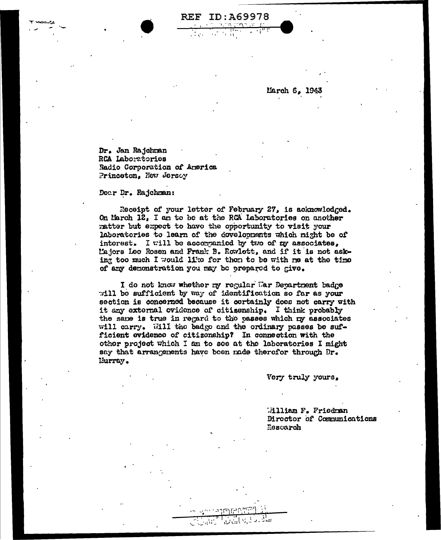March 6, 1943

Dr. Jan Rajchman RCA Laboratories Radio Corporation of America Princeton, New Jersey

Dear Dr. Rajchman:

Receipt of your letter of February 27, is acknowledged. On March 12, I am to be at the RCA laboratories on another matter but expect to have the opportunity to visit your laboratories to learn of the dovelopments which might be of interest. I will be accorranied by two of my associates. Majors Loo Rosen and Frank B. Rowlett, and if it is not asking too much I would 11ke for then to be with me at the time of any demonstration you may be prepared to give.

**REF ID: A69978** 

I do not know whether my regular War Department badge will be sufficient by way of identification so far as your section is concerned because it certainly does not carry with it any external ovidence of citizenship. I think probably the same is true in regard to the passes which my associates will carry. Will the badge and the ordinary passes be sufficient evidence of citizenship? In connection with the other project which I am to see at the laboratories I might say that arrangenents have boen nade therefor through Dr. Lurray.

Very truly yours,

Milliam F. Friedman Director of Communications Rescarch